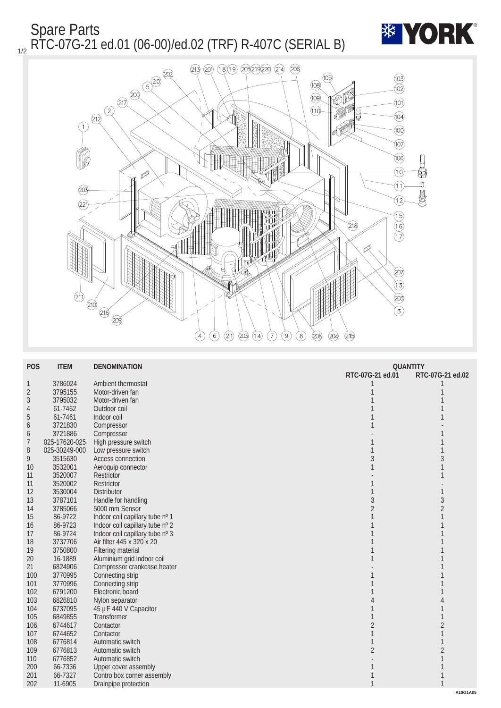Spare Parts <sub>1/2</sub> RTC-07G-21 ed.01 (06-00)/ed.02 (TRF) R-407C (SERIAL B)





| <b>POS</b>       | <b>ITEM</b>   | <b>DENOMINATION</b>             | <b>QUANTITY</b>  |                  |
|------------------|---------------|---------------------------------|------------------|------------------|
|                  |               |                                 | RTC-07G-21 ed.01 | RTC-07G-21 ed.02 |
| 1                | 3786024       | Ambient thermostat              |                  |                  |
| $\boldsymbol{2}$ | 3795155       | Motor-driven fan                |                  |                  |
| 3                | 3795032       | Motor-driven fan                |                  |                  |
| 4                | 61-7462       | Outdoor coil                    |                  |                  |
| $\overline{5}$   | 61-7461       | Indoor coil                     |                  |                  |
| $\boldsymbol{6}$ | 3721830       | Compressor                      |                  |                  |
| $\boldsymbol{6}$ | 3721886       | Compressor                      |                  |                  |
| 7                | 025-17620-025 | High pressure switch            |                  |                  |
| 8                | 025-30249-000 | Low pressure switch             |                  |                  |
| 9                | 3515630       | <b>Access connection</b>        | $\overline{3}$   | 3                |
| 10               | 3532001       | Aeroquip connector              |                  |                  |
| 11               | 3520007       | Restrictor                      |                  |                  |
| 11               | 3520002       | <b>Restrictor</b>               |                  |                  |
| 12               | 3530004       | <b>Distributor</b>              |                  | 1                |
| 13               | 3787101       | Handle for handling             | $\boldsymbol{3}$ | 3                |
| 14               | 3785066       | 5000 mm Sensor                  |                  | $\overline{2}$   |
| 15               | 86-9722       | Indoor coil capillary tube nº 1 |                  |                  |
| 16               | 86-9723       | Indoor coil capillary tube nº 2 |                  |                  |
| 17               | 86-9724       | Indoor coil capillary tube nº 3 |                  |                  |
| 18               | 3737706       | Air filter 445 x 320 x 20       |                  |                  |
| 19               | 3750800       | <b>Filtering material</b>       |                  |                  |
| 20               | 16-1889       | Aluminium grid indoor coil      |                  |                  |
| 21               | 6824906       | Compressor crankcase heater     |                  |                  |
| 100              | 3770995       | Connecting strip                |                  |                  |
| 101              | 3770996       | Connecting strip                |                  |                  |
| 102              | 6791200       | Electronic board                |                  |                  |
| 103              | 6826810       | Nylon separator                 |                  | 4                |
| 104              | 6737095       | 45 µF 440 V Capacitor           |                  |                  |
| 105              | 6849855       | <b>Transformer</b>              |                  | 1                |
| 106              | 6744617       | Contactor                       | $\boldsymbol{2}$ | $\overline{2}$   |
| 107              | 6744652       | Contactor                       |                  | 1                |
| 108              | 6776814       | Automatic switch                |                  |                  |
| 109              | 6776813       | Automatic switch                | $\overline{2}$   | $\boldsymbol{2}$ |
| 110              | 6776852       | Automatic switch                |                  |                  |
| 200              | 66-7336       | <b>Upper cover assembly</b>     |                  |                  |
| 201              | 66-7327       | Contro box corner assembly      |                  |                  |
| 202              | 11-6905       | Drainpipe protection            | 1                |                  |
|                  |               |                                 |                  | A10G1A05         |